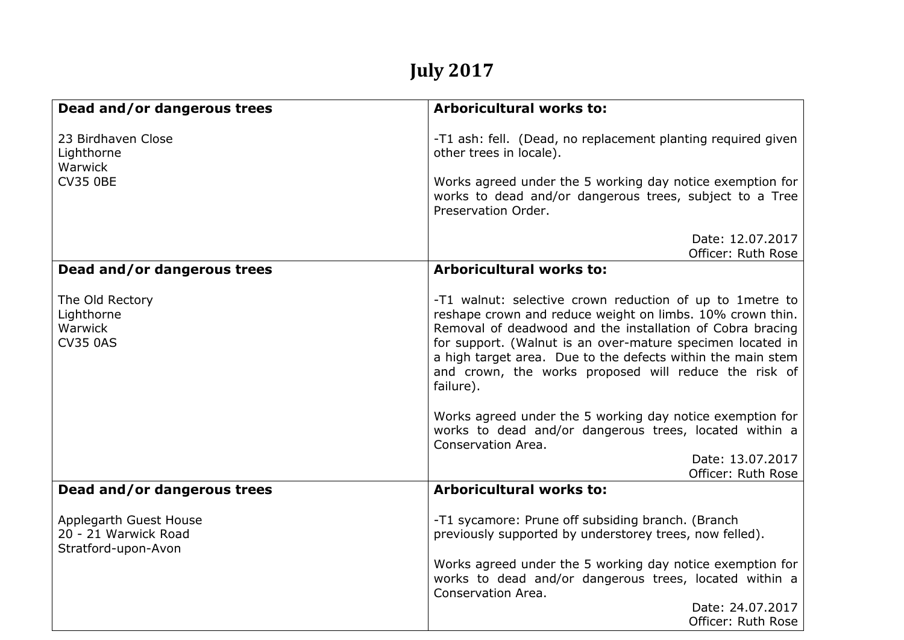## **July 2017**

| Dead and/or dangerous trees                                           | <b>Arboricultural works to:</b>                                                                                                                                                                                                                                                                                                                                                        |
|-----------------------------------------------------------------------|----------------------------------------------------------------------------------------------------------------------------------------------------------------------------------------------------------------------------------------------------------------------------------------------------------------------------------------------------------------------------------------|
| 23 Birdhaven Close<br>Lighthorne<br>Warwick                           | -T1 ash: fell. (Dead, no replacement planting required given<br>other trees in locale).                                                                                                                                                                                                                                                                                                |
| <b>CV35 0BE</b>                                                       | Works agreed under the 5 working day notice exemption for<br>works to dead and/or dangerous trees, subject to a Tree<br>Preservation Order.                                                                                                                                                                                                                                            |
|                                                                       | Date: 12.07.2017<br>Officer: Ruth Rose                                                                                                                                                                                                                                                                                                                                                 |
| Dead and/or dangerous trees                                           | <b>Arboricultural works to:</b>                                                                                                                                                                                                                                                                                                                                                        |
| The Old Rectory<br>Lighthorne<br>Warwick<br><b>CV35 0AS</b>           | -T1 walnut: selective crown reduction of up to 1 metre to<br>reshape crown and reduce weight on limbs. 10% crown thin.<br>Removal of deadwood and the installation of Cobra bracing<br>for support. (Walnut is an over-mature specimen located in<br>a high target area. Due to the defects within the main stem<br>and crown, the works proposed will reduce the risk of<br>failure). |
|                                                                       | Works agreed under the 5 working day notice exemption for<br>works to dead and/or dangerous trees, located within a<br>Conservation Area.                                                                                                                                                                                                                                              |
|                                                                       | Date: 13.07.2017<br>Officer: Ruth Rose                                                                                                                                                                                                                                                                                                                                                 |
| Dead and/or dangerous trees                                           | Arboricultural works to:                                                                                                                                                                                                                                                                                                                                                               |
| Applegarth Guest House<br>20 - 21 Warwick Road<br>Stratford-upon-Avon | -T1 sycamore: Prune off subsiding branch. (Branch<br>previously supported by understorey trees, now felled).<br>Works agreed under the 5 working day notice exemption for<br>works to dead and/or dangerous trees, located within a                                                                                                                                                    |
|                                                                       | Conservation Area.                                                                                                                                                                                                                                                                                                                                                                     |
|                                                                       | Date: 24.07.2017<br>Officer: Ruth Rose                                                                                                                                                                                                                                                                                                                                                 |